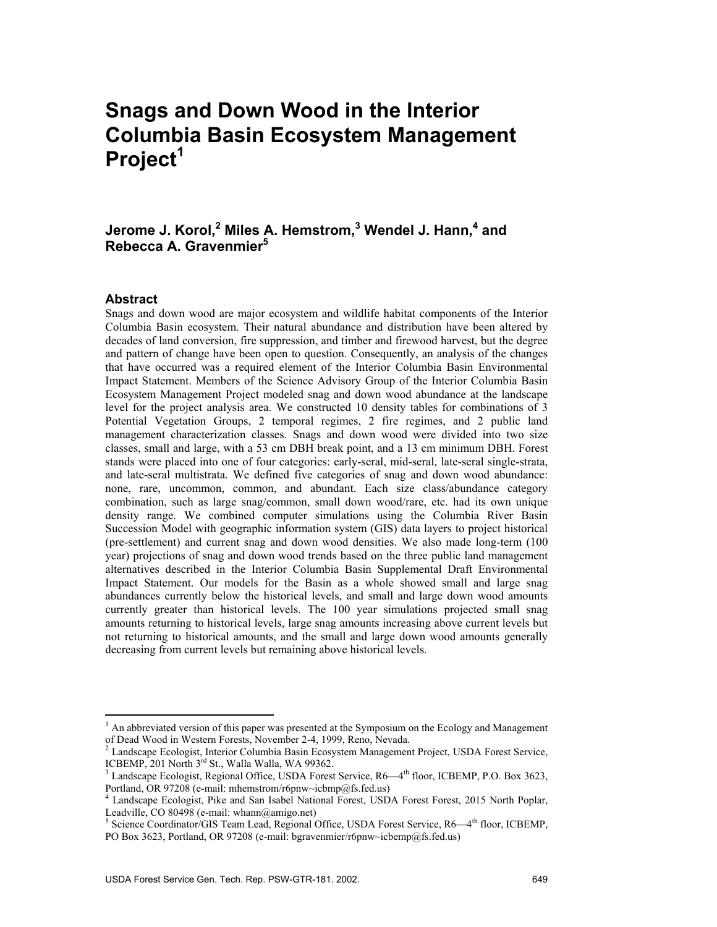# **Snags and Down Wood in the Interior Columbia Basin Ecosystem Management Project1**

#### Jerome J. Korol,<sup>2</sup> Miles A. Hemstrom,<sup>3</sup> Wendel J. Hann,<sup>4</sup> and **Rebecca A. Gravenmier5**

#### **Abstract**

 $\overline{a}$ 

Snags and down wood are major ecosystem and wildlife habitat components of the Interior Columbia Basin ecosystem. Their natural abundance and distribution have been altered by decades of land conversion, fire suppression, and timber and firewood harvest, but the degree and pattern of change have been open to question. Consequently, an analysis of the changes that have occurred was a required element of the Interior Columbia Basin Environmental Impact Statement. Members of the Science Advisory Group of the Interior Columbia Basin Ecosystem Management Project modeled snag and down wood abundance at the landscape level for the project analysis area. We constructed 10 density tables for combinations of 3 Potential Vegetation Groups, 2 temporal regimes, 2 fire regimes, and 2 public land management characterization classes. Snags and down wood were divided into two size classes, small and large, with a 53 cm DBH break point, and a 13 cm minimum DBH. Forest stands were placed into one of four categories: early-seral, mid-seral, late-seral single-strata, and late-seral multistrata. We defined five categories of snag and down wood abundance: none, rare, uncommon, common, and abundant. Each size class/abundance category combination, such as large snag/common, small down wood/rare, etc. had its own unique density range. We combined computer simulations using the Columbia River Basin Succession Model with geographic information system (GIS) data layers to project historical (pre-settlement) and current snag and down wood densities. We also made long-term (100 year) projections of snag and down wood trends based on the three public land management alternatives described in the Interior Columbia Basin Supplemental Draft Environmental Impact Statement. Our models for the Basin as a whole showed small and large snag abundances currently below the historical levels, and small and large down wood amounts currently greater than historical levels. The 100 year simulations projected small snag amounts returning to historical levels, large snag amounts increasing above current levels but not returning to historical amounts, and the small and large down wood amounts generally decreasing from current levels but remaining above historical levels.

<sup>&</sup>lt;sup>1</sup> An abbreviated version of this paper was presented at the Symposium on the Ecology and Management of Dead Wood in Western Forests, November 2-4, 1999, Reno, Nevada.<br><sup>2</sup> Landscape Ecologist, Interior Columbia Basin Ecosystem Management Project, USDA Forest Service,

ICBEMP,  $201$  North  $3<sup>rd</sup>$  St., Walla Walla, WA 99362.

 $3$  Landscape Ecologist, Regional Office, USDA Forest Service, R6—4<sup>th</sup> floor, ICBEMP, P.O. Box 3623, Portland, OR 97208 (e-mail: mhemstrom/r6pnw~icbmp@fs.fed.us)

<sup>&</sup>lt;sup>4</sup> Landscape Ecologist, Pike and San Isabel National Forest, USDA Forest Forest, 2015 North Poplar, Leadville, CO 80498 (e-mail: whann@amigo.net)

<sup>&</sup>lt;sup>5</sup> Science Coordinator/GIS Team Lead, Regional Office, USDA Forest Service, R6—4<sup>th</sup> floor, ICBEMP, PO Box 3623, Portland, OR 97208 (e-mail: bgravenmier/r6pnw~icbemp@fs.fed.us)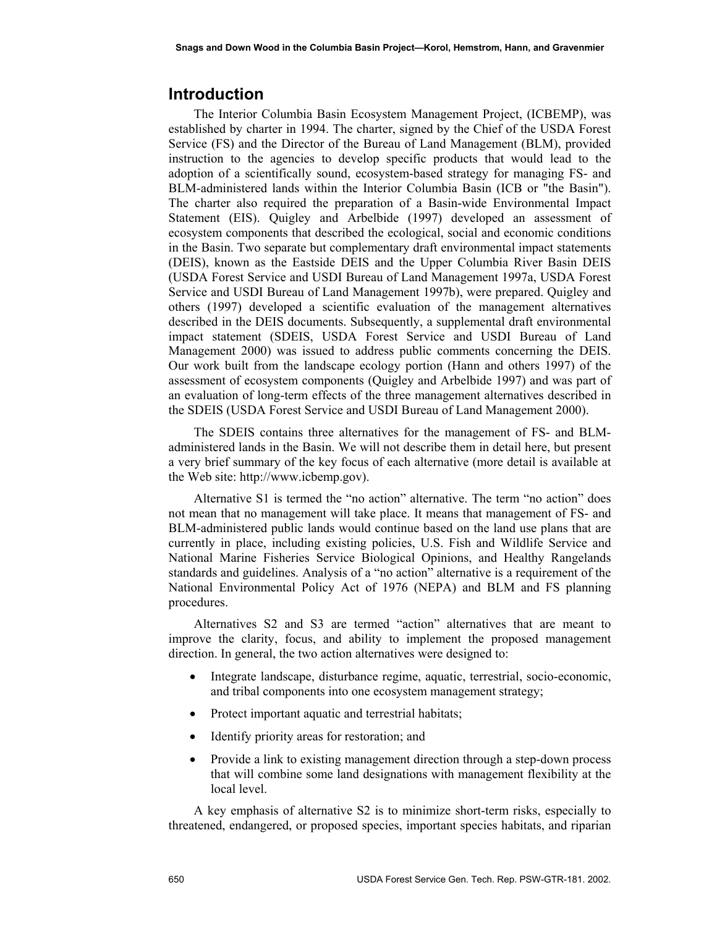### **Introduction**

The Interior Columbia Basin Ecosystem Management Project, (ICBEMP), was established by charter in 1994. The charter, signed by the Chief of the USDA Forest Service (FS) and the Director of the Bureau of Land Management (BLM), provided instruction to the agencies to develop specific products that would lead to the adoption of a scientifically sound, ecosystem-based strategy for managing FS- and BLM-administered lands within the Interior Columbia Basin (ICB or "the Basin"). The charter also required the preparation of a Basin-wide Environmental Impact Statement (EIS). Quigley and Arbelbide (1997) developed an assessment of ecosystem components that described the ecological, social and economic conditions in the Basin. Two separate but complementary draft environmental impact statements (DEIS), known as the Eastside DEIS and the Upper Columbia River Basin DEIS (USDA Forest Service and USDI Bureau of Land Management 1997a, USDA Forest Service and USDI Bureau of Land Management 1997b), were prepared. Quigley and others (1997) developed a scientific evaluation of the management alternatives described in the DEIS documents. Subsequently, a supplemental draft environmental impact statement (SDEIS, USDA Forest Service and USDI Bureau of Land Management 2000) was issued to address public comments concerning the DEIS. Our work built from the landscape ecology portion (Hann and others 1997) of the assessment of ecosystem components (Quigley and Arbelbide 1997) and was part of an evaluation of long-term effects of the three management alternatives described in the SDEIS (USDA Forest Service and USDI Bureau of Land Management 2000).

The SDEIS contains three alternatives for the management of FS- and BLMadministered lands in the Basin. We will not describe them in detail here, but present a very brief summary of the key focus of each alternative (more detail is available at the Web site: http://www.icbemp.gov).

Alternative S1 is termed the "no action" alternative. The term "no action" does not mean that no management will take place. It means that management of FS- and BLM-administered public lands would continue based on the land use plans that are currently in place, including existing policies, U.S. Fish and Wildlife Service and National Marine Fisheries Service Biological Opinions, and Healthy Rangelands standards and guidelines. Analysis of a "no action" alternative is a requirement of the National Environmental Policy Act of 1976 (NEPA) and BLM and FS planning procedures.

Alternatives S2 and S3 are termed "action" alternatives that are meant to improve the clarity, focus, and ability to implement the proposed management direction. In general, the two action alternatives were designed to:

- Integrate landscape, disturbance regime, aquatic, terrestrial, socio-economic, and tribal components into one ecosystem management strategy;
- Protect important aquatic and terrestrial habitats;
- Identify priority areas for restoration; and
- Provide a link to existing management direction through a step-down process that will combine some land designations with management flexibility at the local level.

A key emphasis of alternative S2 is to minimize short-term risks, especially to threatened, endangered, or proposed species, important species habitats, and riparian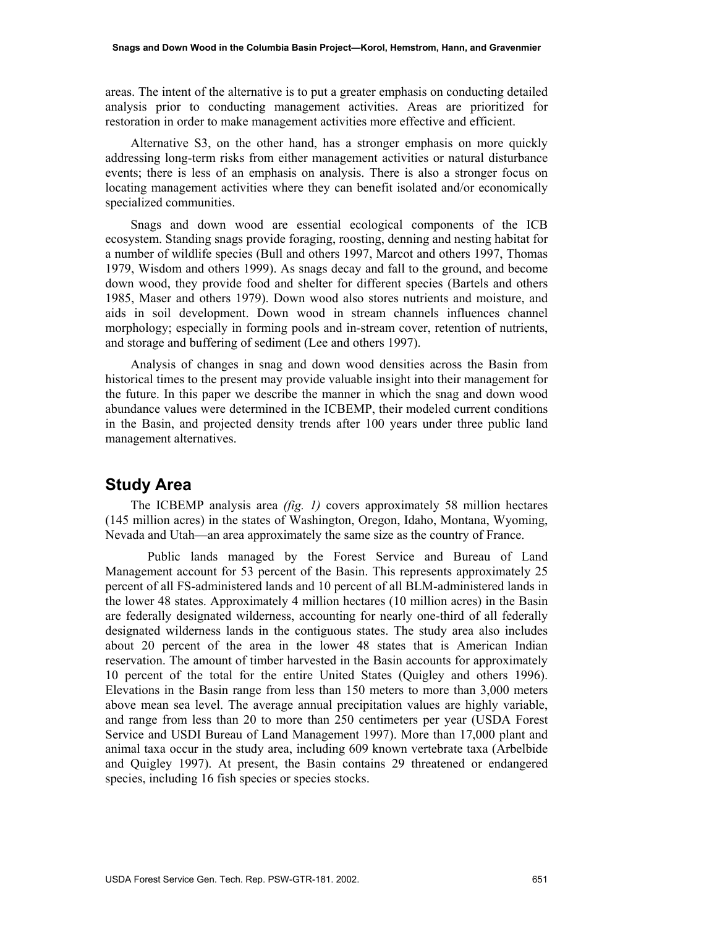areas. The intent of the alternative is to put a greater emphasis on conducting detailed analysis prior to conducting management activities. Areas are prioritized for restoration in order to make management activities more effective and efficient.

Alternative S3, on the other hand, has a stronger emphasis on more quickly addressing long-term risks from either management activities or natural disturbance events; there is less of an emphasis on analysis. There is also a stronger focus on locating management activities where they can benefit isolated and/or economically specialized communities.

Snags and down wood are essential ecological components of the ICB ecosystem. Standing snags provide foraging, roosting, denning and nesting habitat for a number of wildlife species (Bull and others 1997, Marcot and others 1997, Thomas 1979, Wisdom and others 1999). As snags decay and fall to the ground, and become down wood, they provide food and shelter for different species (Bartels and others 1985, Maser and others 1979). Down wood also stores nutrients and moisture, and aids in soil development. Down wood in stream channels influences channel morphology; especially in forming pools and in-stream cover, retention of nutrients, and storage and buffering of sediment (Lee and others 1997).

Analysis of changes in snag and down wood densities across the Basin from historical times to the present may provide valuable insight into their management for the future. In this paper we describe the manner in which the snag and down wood abundance values were determined in the ICBEMP, their modeled current conditions in the Basin, and projected density trends after 100 years under three public land management alternatives.

#### **Study Area**

The ICBEMP analysis area *(fig. 1)* covers approximately 58 million hectares (145 million acres) in the states of Washington, Oregon, Idaho, Montana, Wyoming, Nevada and Utah—an area approximately the same size as the country of France.

Public lands managed by the Forest Service and Bureau of Land Management account for 53 percent of the Basin. This represents approximately 25 percent of all FS-administered lands and 10 percent of all BLM-administered lands in the lower 48 states. Approximately 4 million hectares (10 million acres) in the Basin are federally designated wilderness, accounting for nearly one-third of all federally designated wilderness lands in the contiguous states. The study area also includes about 20 percent of the area in the lower 48 states that is American Indian reservation. The amount of timber harvested in the Basin accounts for approximately 10 percent of the total for the entire United States (Quigley and others 1996). Elevations in the Basin range from less than 150 meters to more than 3,000 meters above mean sea level. The average annual precipitation values are highly variable, and range from less than 20 to more than 250 centimeters per year (USDA Forest Service and USDI Bureau of Land Management 1997). More than 17,000 plant and animal taxa occur in the study area, including 609 known vertebrate taxa (Arbelbide and Quigley 1997). At present, the Basin contains 29 threatened or endangered species, including 16 fish species or species stocks.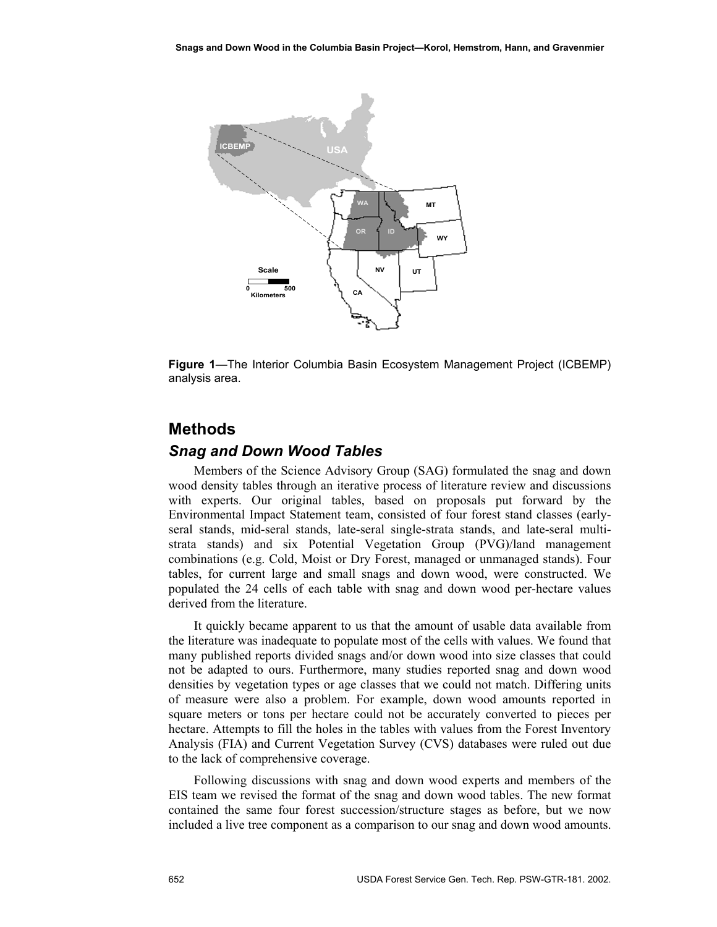

**Figure 1**—The Interior Columbia Basin Ecosystem Management Project (ICBEMP) analysis area.

## **Methods**

#### *Snag and Down Wood Tables*

Members of the Science Advisory Group (SAG) formulated the snag and down wood density tables through an iterative process of literature review and discussions with experts. Our original tables, based on proposals put forward by the Environmental Impact Statement team, consisted of four forest stand classes (earlyseral stands, mid-seral stands, late-seral single-strata stands, and late-seral multistrata stands) and six Potential Vegetation Group (PVG)/land management combinations (e.g. Cold, Moist or Dry Forest, managed or unmanaged stands). Four tables, for current large and small snags and down wood, were constructed. We populated the 24 cells of each table with snag and down wood per-hectare values derived from the literature.

It quickly became apparent to us that the amount of usable data available from the literature was inadequate to populate most of the cells with values. We found that many published reports divided snags and/or down wood into size classes that could not be adapted to ours. Furthermore, many studies reported snag and down wood densities by vegetation types or age classes that we could not match. Differing units of measure were also a problem. For example, down wood amounts reported in square meters or tons per hectare could not be accurately converted to pieces per hectare. Attempts to fill the holes in the tables with values from the Forest Inventory Analysis (FIA) and Current Vegetation Survey (CVS) databases were ruled out due to the lack of comprehensive coverage.

Following discussions with snag and down wood experts and members of the EIS team we revised the format of the snag and down wood tables. The new format contained the same four forest succession/structure stages as before, but we now included a live tree component as a comparison to our snag and down wood amounts.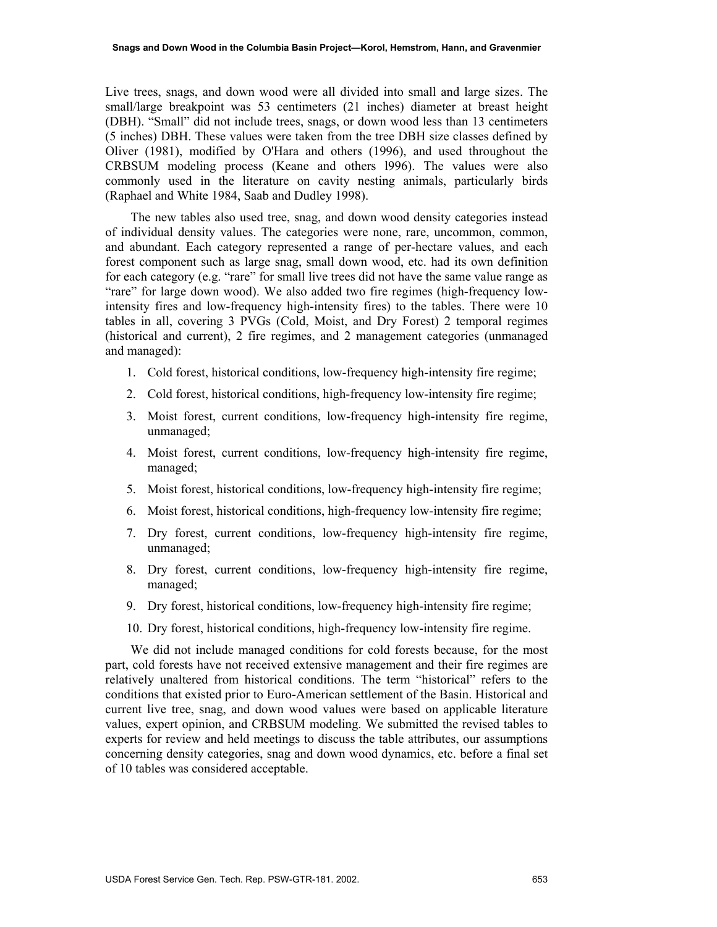Live trees, snags, and down wood were all divided into small and large sizes. The small/large breakpoint was 53 centimeters (21 inches) diameter at breast height (DBH). "Small" did not include trees, snags, or down wood less than 13 centimeters (5 inches) DBH. These values were taken from the tree DBH size classes defined by Oliver (1981), modified by O'Hara and others (1996), and used throughout the CRBSUM modeling process (Keane and others l996). The values were also commonly used in the literature on cavity nesting animals, particularly birds (Raphael and White 1984, Saab and Dudley 1998).

The new tables also used tree, snag, and down wood density categories instead of individual density values. The categories were none, rare, uncommon, common, and abundant. Each category represented a range of per-hectare values, and each forest component such as large snag, small down wood, etc. had its own definition for each category (e.g. "rare" for small live trees did not have the same value range as "rare" for large down wood). We also added two fire regimes (high-frequency lowintensity fires and low-frequency high-intensity fires) to the tables. There were 10 tables in all, covering 3 PVGs (Cold, Moist, and Dry Forest) 2 temporal regimes (historical and current), 2 fire regimes, and 2 management categories (unmanaged and managed):

- 1. Cold forest, historical conditions, low-frequency high-intensity fire regime;
- 2. Cold forest, historical conditions, high-frequency low-intensity fire regime;
- 3. Moist forest, current conditions, low-frequency high-intensity fire regime, unmanaged;
- 4. Moist forest, current conditions, low-frequency high-intensity fire regime, managed;
- 5. Moist forest, historical conditions, low-frequency high-intensity fire regime;
- 6. Moist forest, historical conditions, high-frequency low-intensity fire regime;
- 7. Dry forest, current conditions, low-frequency high-intensity fire regime, unmanaged;
- 8. Dry forest, current conditions, low-frequency high-intensity fire regime, managed;
- 9. Dry forest, historical conditions, low-frequency high-intensity fire regime;
- 10. Dry forest, historical conditions, high-frequency low-intensity fire regime.

We did not include managed conditions for cold forests because, for the most part, cold forests have not received extensive management and their fire regimes are relatively unaltered from historical conditions. The term "historical" refers to the conditions that existed prior to Euro-American settlement of the Basin. Historical and current live tree, snag, and down wood values were based on applicable literature values, expert opinion, and CRBSUM modeling. We submitted the revised tables to experts for review and held meetings to discuss the table attributes, our assumptions concerning density categories, snag and down wood dynamics, etc. before a final set of 10 tables was considered acceptable.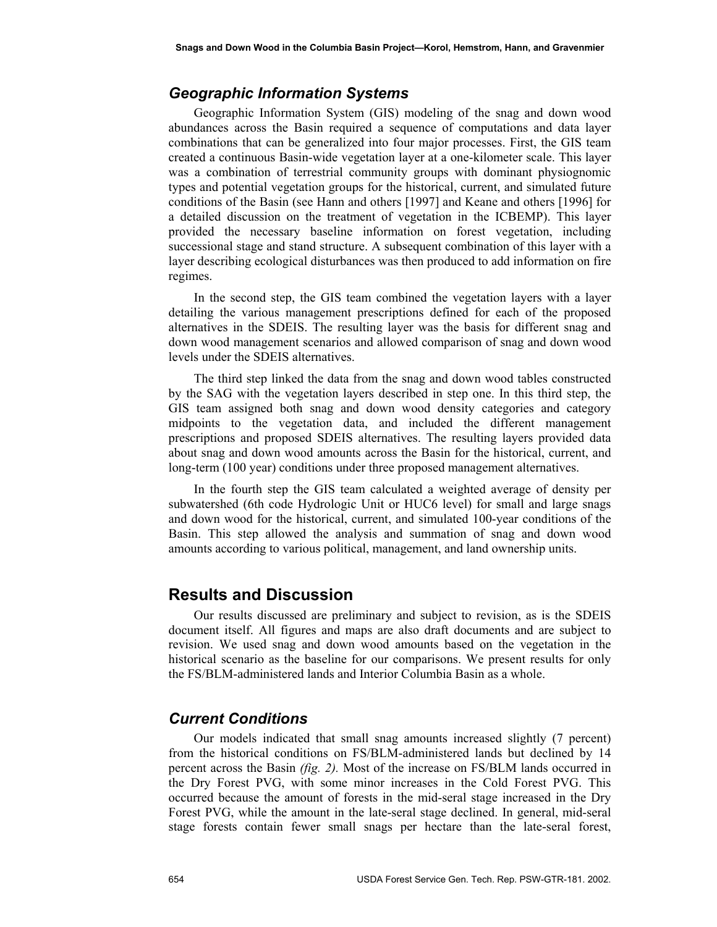#### *Geographic Information Systems*

Geographic Information System (GIS) modeling of the snag and down wood abundances across the Basin required a sequence of computations and data layer combinations that can be generalized into four major processes. First, the GIS team created a continuous Basin-wide vegetation layer at a one-kilometer scale. This layer was a combination of terrestrial community groups with dominant physiognomic types and potential vegetation groups for the historical, current, and simulated future conditions of the Basin (see Hann and others [1997] and Keane and others [1996] for a detailed discussion on the treatment of vegetation in the ICBEMP). This layer provided the necessary baseline information on forest vegetation, including successional stage and stand structure. A subsequent combination of this layer with a layer describing ecological disturbances was then produced to add information on fire regimes.

In the second step, the GIS team combined the vegetation layers with a layer detailing the various management prescriptions defined for each of the proposed alternatives in the SDEIS. The resulting layer was the basis for different snag and down wood management scenarios and allowed comparison of snag and down wood levels under the SDEIS alternatives.

The third step linked the data from the snag and down wood tables constructed by the SAG with the vegetation layers described in step one. In this third step, the GIS team assigned both snag and down wood density categories and category midpoints to the vegetation data, and included the different management prescriptions and proposed SDEIS alternatives. The resulting layers provided data about snag and down wood amounts across the Basin for the historical, current, and long-term (100 year) conditions under three proposed management alternatives.

In the fourth step the GIS team calculated a weighted average of density per subwatershed (6th code Hydrologic Unit or HUC6 level) for small and large snags and down wood for the historical, current, and simulated 100-year conditions of the Basin. This step allowed the analysis and summation of snag and down wood amounts according to various political, management, and land ownership units.

#### **Results and Discussion**

Our results discussed are preliminary and subject to revision, as is the SDEIS document itself. All figures and maps are also draft documents and are subject to revision. We used snag and down wood amounts based on the vegetation in the historical scenario as the baseline for our comparisons. We present results for only the FS/BLM-administered lands and Interior Columbia Basin as a whole.

#### *Current Conditions*

Our models indicated that small snag amounts increased slightly (7 percent) from the historical conditions on FS/BLM-administered lands but declined by 14 percent across the Basin *(fig. 2).* Most of the increase on FS/BLM lands occurred in the Dry Forest PVG, with some minor increases in the Cold Forest PVG. This occurred because the amount of forests in the mid-seral stage increased in the Dry Forest PVG, while the amount in the late-seral stage declined. In general, mid-seral stage forests contain fewer small snags per hectare than the late-seral forest,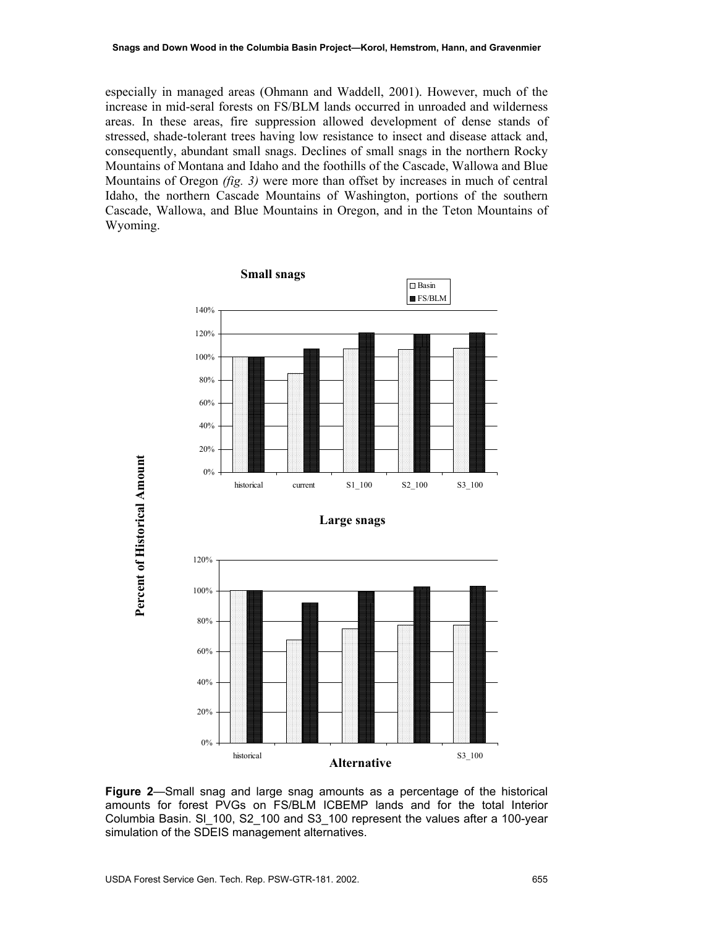especially in managed areas (Ohmann and Waddell, 2001). However, much of the increase in mid-seral forests on FS/BLM lands occurred in unroaded and wilderness areas. In these areas, fire suppression allowed development of dense stands of stressed, shade-tolerant trees having low resistance to insect and disease attack and, consequently, abundant small snags. Declines of small snags in the northern Rocky Mountains of Montana and Idaho and the foothills of the Cascade, Wallowa and Blue Mountains of Oregon *(fig. 3)* were more than offset by increases in much of central Idaho, the northern Cascade Mountains of Washington, portions of the southern Cascade, Wallowa, and Blue Mountains in Oregon, and in the Teton Mountains of Wyoming.



**Figure 2**—Small snag and large snag amounts as a percentage of the historical amounts for forest PVGs on FS/BLM ICBEMP lands and for the total Interior Columbia Basin. Sl\_100, S2\_100 and S3\_100 represent the values after a 100-year simulation of the SDEIS management alternatives.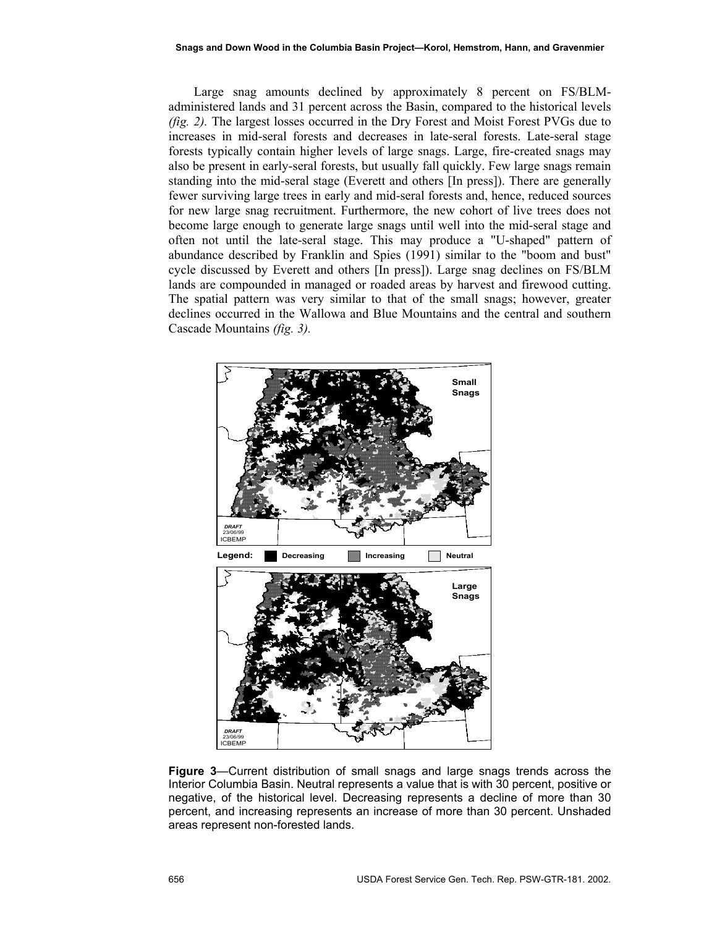Large snag amounts declined by approximately 8 percent on FS/BLMadministered lands and 31 percent across the Basin, compared to the historical levels *(fig. 2).* The largest losses occurred in the Dry Forest and Moist Forest PVGs due to increases in mid-seral forests and decreases in late-seral forests. Late-seral stage forests typically contain higher levels of large snags. Large, fire-created snags may also be present in early-seral forests, but usually fall quickly. Few large snags remain standing into the mid-seral stage (Everett and others [In press]). There are generally fewer surviving large trees in early and mid-seral forests and, hence, reduced sources for new large snag recruitment. Furthermore, the new cohort of live trees does not become large enough to generate large snags until well into the mid-seral stage and often not until the late-seral stage. This may produce a "U-shaped" pattern of abundance described by Franklin and Spies (1991) similar to the "boom and bust" cycle discussed by Everett and others [In press]). Large snag declines on FS/BLM lands are compounded in managed or roaded areas by harvest and firewood cutting. The spatial pattern was very similar to that of the small snags; however, greater declines occurred in the Wallowa and Blue Mountains and the central and southern Cascade Mountains *(fig. 3).* 



**Figure 3**—Current distribution of small snags and large snags trends across the Interior Columbia Basin. Neutral represents a value that is with 30 percent, positive or negative, of the historical level. Decreasing represents a decline of more than 30 percent, and increasing represents an increase of more than 30 percent. Unshaded areas represent non-forested lands.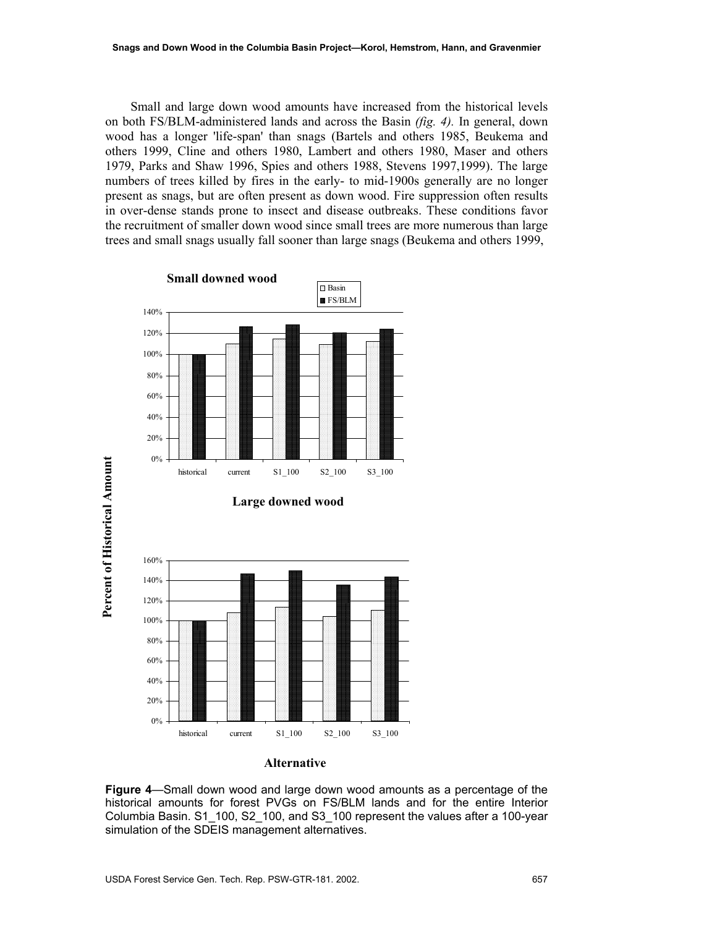Small and large down wood amounts have increased from the historical levels on both FS/BLM-administered lands and across the Basin *(fig. 4).* In general, down wood has a longer 'life-span' than snags (Bartels and others 1985, Beukema and others 1999, Cline and others 1980, Lambert and others 1980, Maser and others 1979, Parks and Shaw 1996, Spies and others 1988, Stevens 1997,1999). The large numbers of trees killed by fires in the early- to mid-1900s generally are no longer present as snags, but are often present as down wood. Fire suppression often results in over-dense stands prone to insect and disease outbreaks. These conditions favor the recruitment of smaller down wood since small trees are more numerous than large trees and small snags usually fall sooner than large snags (Beukema and others 1999,



#### **Alternative**

**Figure 4**—Small down wood and large down wood amounts as a percentage of the historical amounts for forest PVGs on FS/BLM lands and for the entire Interior Columbia Basin. S1\_100, S2\_100, and S3\_100 represent the values after a 100-year simulation of the SDEIS management alternatives.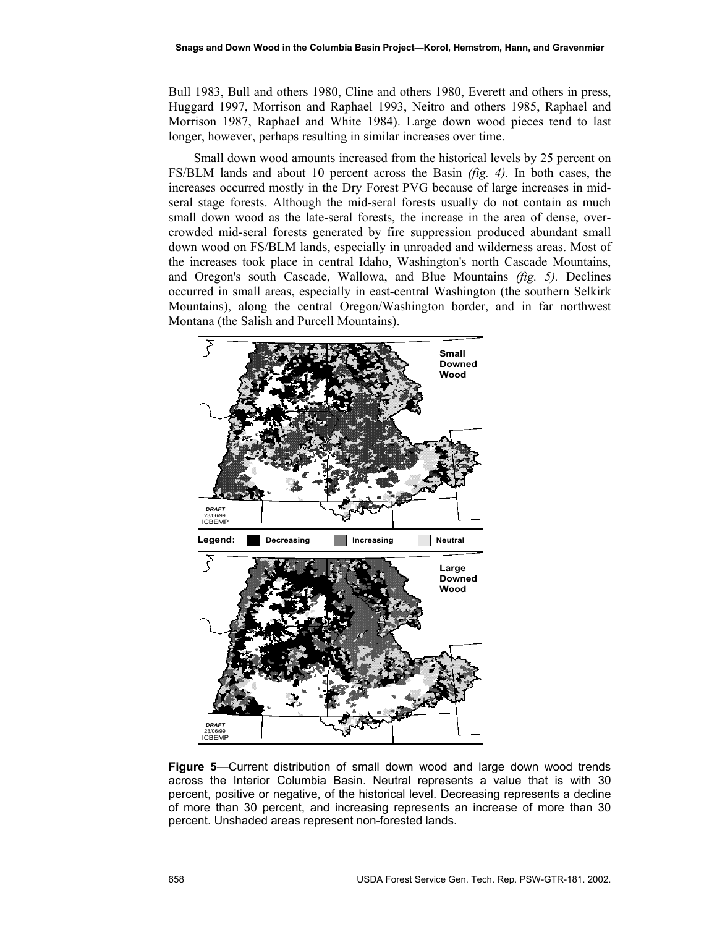Bull 1983, Bull and others 1980, Cline and others 1980, Everett and others in press, Huggard 1997, Morrison and Raphael 1993, Neitro and others 1985, Raphael and Morrison 1987, Raphael and White 1984). Large down wood pieces tend to last longer, however, perhaps resulting in similar increases over time.

Small down wood amounts increased from the historical levels by 25 percent on FS/BLM lands and about 10 percent across the Basin *(fig. 4).* In both cases, the increases occurred mostly in the Dry Forest PVG because of large increases in midseral stage forests. Although the mid-seral forests usually do not contain as much small down wood as the late-seral forests, the increase in the area of dense, overcrowded mid-seral forests generated by fire suppression produced abundant small down wood on FS/BLM lands, especially in unroaded and wilderness areas. Most of the increases took place in central Idaho, Washington's north Cascade Mountains, and Oregon's south Cascade, Wallowa, and Blue Mountains *(fig. 5).* Declines occurred in small areas, especially in east-central Washington (the southern Selkirk Mountains), along the central Oregon/Washington border, and in far northwest Montana (the Salish and Purcell Mountains).



**Figure 5**—Current distribution of small down wood and large down wood trends across the Interior Columbia Basin. Neutral represents a value that is with 30 percent, positive or negative, of the historical level. Decreasing represents a decline of more than 30 percent, and increasing represents an increase of more than 30 percent. Unshaded areas represent non-forested lands.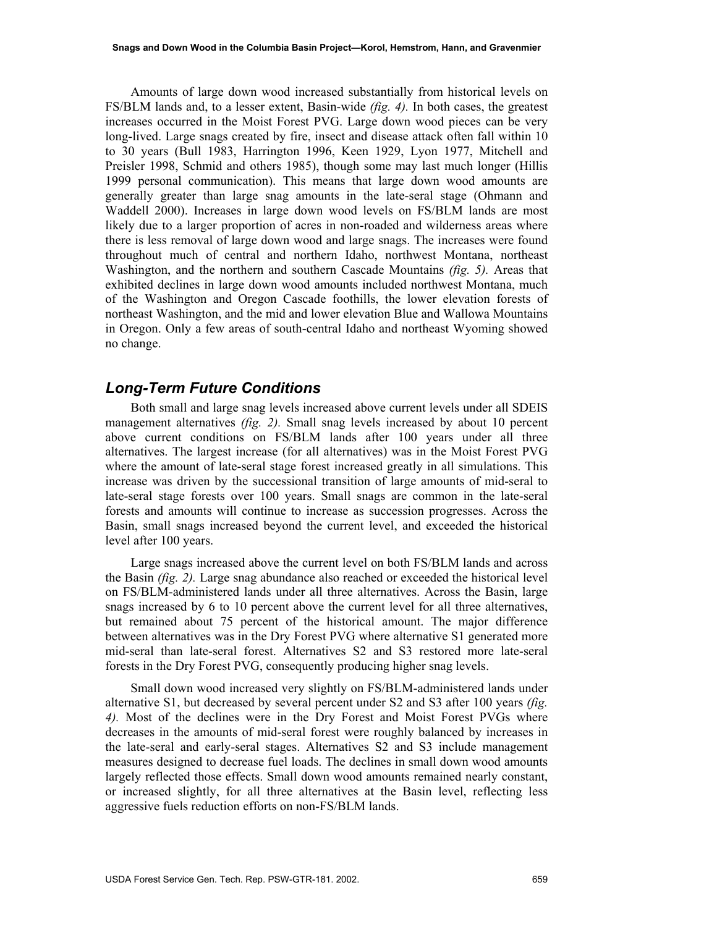Amounts of large down wood increased substantially from historical levels on FS/BLM lands and, to a lesser extent, Basin-wide *(fig. 4).* In both cases, the greatest increases occurred in the Moist Forest PVG. Large down wood pieces can be very long-lived. Large snags created by fire, insect and disease attack often fall within 10 to 30 years (Bull 1983, Harrington 1996, Keen 1929, Lyon 1977, Mitchell and Preisler 1998, Schmid and others 1985), though some may last much longer (Hillis 1999 personal communication). This means that large down wood amounts are generally greater than large snag amounts in the late-seral stage (Ohmann and Waddell 2000). Increases in large down wood levels on FS/BLM lands are most likely due to a larger proportion of acres in non-roaded and wilderness areas where there is less removal of large down wood and large snags. The increases were found throughout much of central and northern Idaho, northwest Montana, northeast Washington, and the northern and southern Cascade Mountains *(fig. 5).* Areas that exhibited declines in large down wood amounts included northwest Montana, much of the Washington and Oregon Cascade foothills, the lower elevation forests of northeast Washington, and the mid and lower elevation Blue and Wallowa Mountains in Oregon. Only a few areas of south-central Idaho and northeast Wyoming showed no change.

#### *Long-Term Future Conditions*

Both small and large snag levels increased above current levels under all SDEIS management alternatives *(fig. 2).* Small snag levels increased by about 10 percent above current conditions on FS/BLM lands after 100 years under all three alternatives. The largest increase (for all alternatives) was in the Moist Forest PVG where the amount of late-seral stage forest increased greatly in all simulations. This increase was driven by the successional transition of large amounts of mid-seral to late-seral stage forests over 100 years. Small snags are common in the late-seral forests and amounts will continue to increase as succession progresses. Across the Basin, small snags increased beyond the current level, and exceeded the historical level after 100 years.

Large snags increased above the current level on both FS/BLM lands and across the Basin *(fig. 2).* Large snag abundance also reached or exceeded the historical level on FS/BLM-administered lands under all three alternatives. Across the Basin, large snags increased by 6 to 10 percent above the current level for all three alternatives, but remained about 75 percent of the historical amount. The major difference between alternatives was in the Dry Forest PVG where alternative S1 generated more mid-seral than late-seral forest. Alternatives S2 and S3 restored more late-seral forests in the Dry Forest PVG, consequently producing higher snag levels.

Small down wood increased very slightly on FS/BLM-administered lands under alternative S1, but decreased by several percent under S2 and S3 after 100 years *(fig. 4).* Most of the declines were in the Dry Forest and Moist Forest PVGs where decreases in the amounts of mid-seral forest were roughly balanced by increases in the late-seral and early-seral stages. Alternatives S2 and S3 include management measures designed to decrease fuel loads. The declines in small down wood amounts largely reflected those effects. Small down wood amounts remained nearly constant, or increased slightly, for all three alternatives at the Basin level, reflecting less aggressive fuels reduction efforts on non-FS/BLM lands.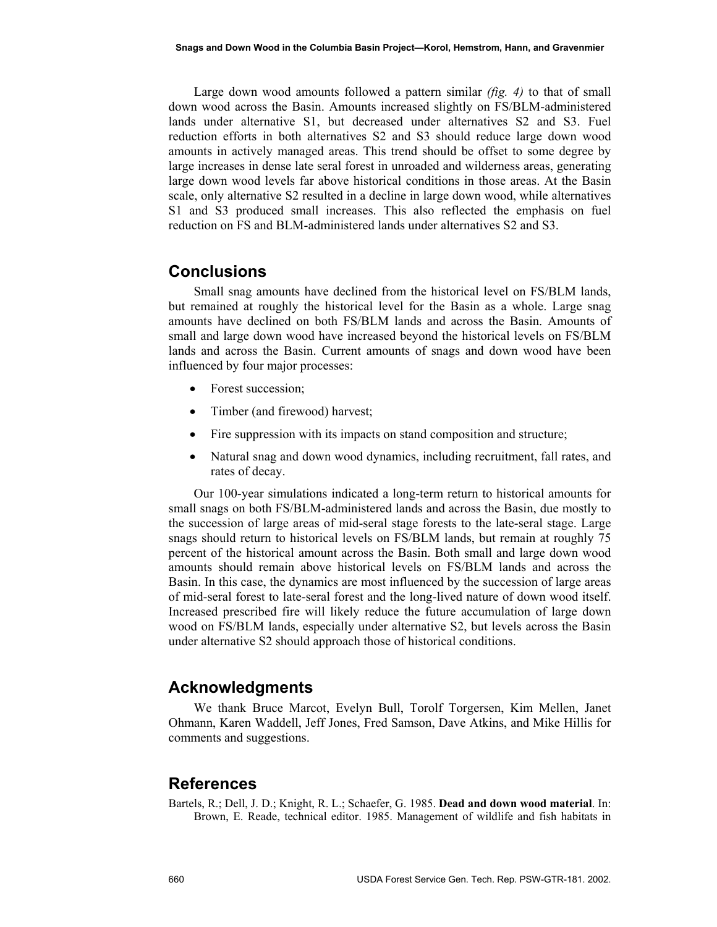Large down wood amounts followed a pattern similar *(fig. 4)* to that of small down wood across the Basin. Amounts increased slightly on FS/BLM-administered lands under alternative S1, but decreased under alternatives S2 and S3. Fuel reduction efforts in both alternatives S2 and S3 should reduce large down wood amounts in actively managed areas. This trend should be offset to some degree by large increases in dense late seral forest in unroaded and wilderness areas, generating large down wood levels far above historical conditions in those areas. At the Basin scale, only alternative S2 resulted in a decline in large down wood, while alternatives S1 and S3 produced small increases. This also reflected the emphasis on fuel reduction on FS and BLM-administered lands under alternatives S2 and S3.

#### **Conclusions**

Small snag amounts have declined from the historical level on FS/BLM lands, but remained at roughly the historical level for the Basin as a whole. Large snag amounts have declined on both FS/BLM lands and across the Basin. Amounts of small and large down wood have increased beyond the historical levels on FS/BLM lands and across the Basin. Current amounts of snags and down wood have been influenced by four major processes:

- Forest succession;
- Timber (and firewood) harvest;
- Fire suppression with its impacts on stand composition and structure;
- Natural snag and down wood dynamics, including recruitment, fall rates, and rates of decay.

Our 100-year simulations indicated a long-term return to historical amounts for small snags on both FS/BLM-administered lands and across the Basin, due mostly to the succession of large areas of mid-seral stage forests to the late-seral stage. Large snags should return to historical levels on FS/BLM lands, but remain at roughly 75 percent of the historical amount across the Basin. Both small and large down wood amounts should remain above historical levels on FS/BLM lands and across the Basin. In this case, the dynamics are most influenced by the succession of large areas of mid-seral forest to late-seral forest and the long-lived nature of down wood itself. Increased prescribed fire will likely reduce the future accumulation of large down wood on FS/BLM lands, especially under alternative S2, but levels across the Basin under alternative S2 should approach those of historical conditions.

#### **Acknowledgments**

We thank Bruce Marcot, Evelyn Bull, Torolf Torgersen, Kim Mellen, Janet Ohmann, Karen Waddell, Jeff Jones, Fred Samson, Dave Atkins, and Mike Hillis for comments and suggestions.

#### **References**

Bartels, R.; Dell, J. D.; Knight, R. L.; Schaefer, G. 1985. **Dead and down wood material**. In: Brown, E. Reade, technical editor. 1985. Management of wildlife and fish habitats in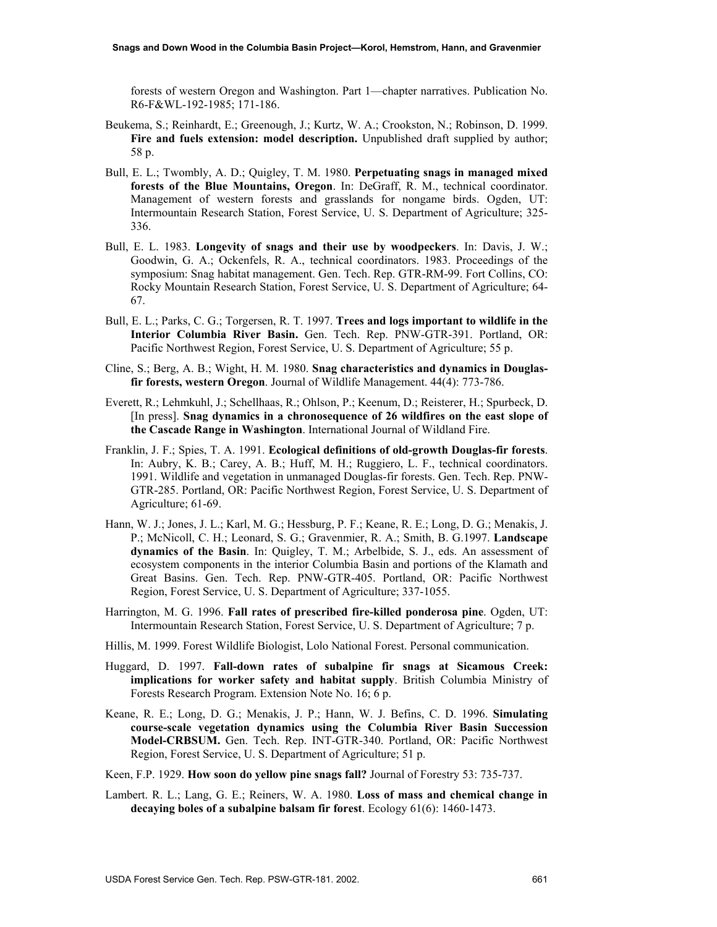forests of western Oregon and Washington. Part 1—chapter narratives. Publication No. R6-F&WL-192-1985; 171-186.

- Beukema, S.; Reinhardt, E.; Greenough, J.; Kurtz, W. A.; Crookston, N.; Robinson, D. 1999. **Fire and fuels extension: model description.** Unpublished draft supplied by author; 58 p.
- Bull, E. L.; Twombly, A. D.; Quigley, T. M. 1980. **Perpetuating snags in managed mixed forests of the Blue Mountains, Oregon**. In: DeGraff, R. M., technical coordinator. Management of western forests and grasslands for nongame birds. Ogden, UT: Intermountain Research Station, Forest Service, U. S. Department of Agriculture; 325- 336.
- Bull, E. L. 1983. **Longevity of snags and their use by woodpeckers**. In: Davis, J. W.; Goodwin, G. A.; Ockenfels, R. A., technical coordinators. 1983. Proceedings of the symposium: Snag habitat management. Gen. Tech. Rep. GTR-RM-99. Fort Collins, CO: Rocky Mountain Research Station, Forest Service, U. S. Department of Agriculture; 64- 67.
- Bull, E. L.; Parks, C. G.; Torgersen, R. T. 1997. **Trees and logs important to wildlife in the Interior Columbia River Basin.** Gen. Tech. Rep. PNW-GTR-391. Portland, OR: Pacific Northwest Region, Forest Service, U. S. Department of Agriculture; 55 p.
- Cline, S.; Berg, A. B.; Wight, H. M. 1980. **Snag characteristics and dynamics in Douglasfir forests, western Oregon**. Journal of Wildlife Management. 44(4): 773-786.
- Everett, R.; Lehmkuhl, J.; Schellhaas, R.; Ohlson, P.; Keenum, D.; Reisterer, H.; Spurbeck, D. [In press]. **Snag dynamics in a chronosequence of 26 wildfires on the east slope of the Cascade Range in Washington**. International Journal of Wildland Fire.
- Franklin, J. F.; Spies, T. A. 1991. **Ecological definitions of old-growth Douglas-fir forests**. In: Aubry, K. B.; Carey, A. B.; Huff, M. H.; Ruggiero, L. F., technical coordinators. 1991. Wildlife and vegetation in unmanaged Douglas-fir forests. Gen. Tech. Rep. PNW-GTR-285. Portland, OR: Pacific Northwest Region, Forest Service, U. S. Department of Agriculture; 61-69.
- Hann, W. J.; Jones, J. L.; Karl, M. G.; Hessburg, P. F.; Keane, R. E.; Long, D. G.; Menakis, J. P.; McNicoll, C. H.; Leonard, S. G.; Gravenmier, R. A.; Smith, B. G.1997. **Landscape dynamics of the Basin**. In: Quigley, T. M.; Arbelbide, S. J., eds. An assessment of ecosystem components in the interior Columbia Basin and portions of the Klamath and Great Basins. Gen. Tech. Rep. PNW-GTR-405. Portland, OR: Pacific Northwest Region, Forest Service, U. S. Department of Agriculture; 337-1055.
- Harrington, M. G. 1996. **Fall rates of prescribed fire-killed ponderosa pine**. Ogden, UT: Intermountain Research Station, Forest Service, U. S. Department of Agriculture; 7 p.
- Hillis, M. 1999. Forest Wildlife Biologist, Lolo National Forest. Personal communication.
- Huggard, D. 1997. **Fall-down rates of subalpine fir snags at Sicamous Creek: implications for worker safety and habitat supply**. British Columbia Ministry of Forests Research Program. Extension Note No. 16; 6 p.
- Keane, R. E.; Long, D. G.; Menakis, J. P.; Hann, W. J. Befins, C. D. 1996. **Simulating course-scale vegetation dynamics using the Columbia River Basin Succession Model-CRBSUM.** Gen. Tech. Rep. INT-GTR-340. Portland, OR: Pacific Northwest Region, Forest Service, U. S. Department of Agriculture; 51 p.
- Keen, F.P. 1929. **How soon do yellow pine snags fall?** Journal of Forestry 53: 735-737.
- Lambert. R. L.; Lang, G. E.; Reiners, W. A. 1980. **Loss of mass and chemical change in decaying boles of a subalpine balsam fir forest**. Ecology 61(6): 1460-1473.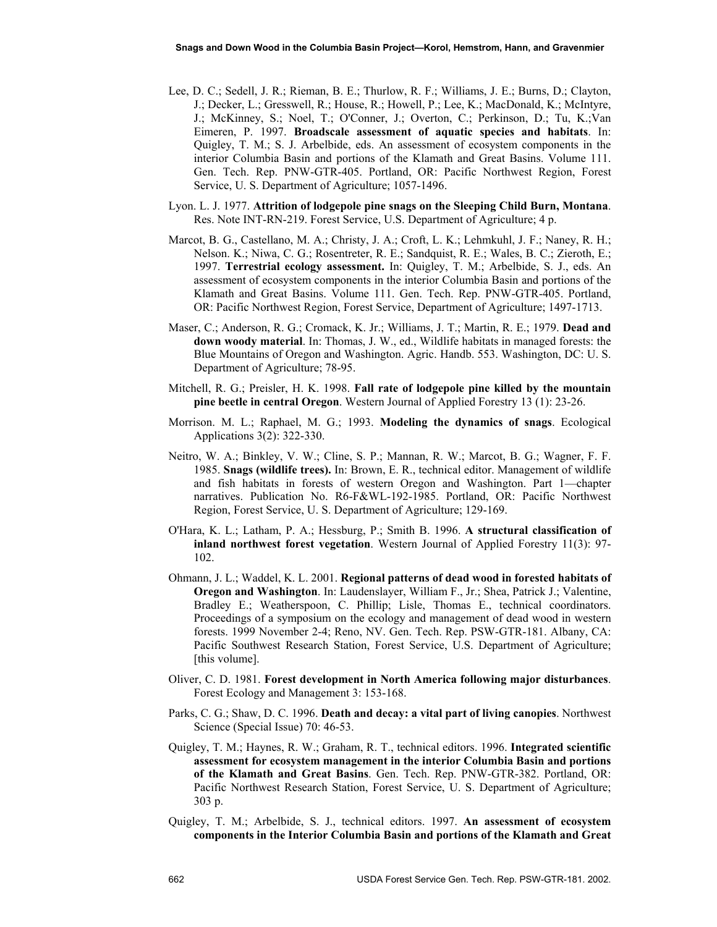- Lee, D. C.; Sedell, J. R.; Rieman, B. E.; Thurlow, R. F.; Williams, J. E.; Burns, D.; Clayton, J.; Decker, L.; Gresswell, R.; House, R.; Howell, P.; Lee, K.; MacDonald, K.; McIntyre, J.; McKinney, S.; Noel, T.; O'Conner, J.; Overton, C.; Perkinson, D.; Tu, K.;Van Eimeren, P. 1997. **Broadscale assessment of aquatic species and habitats**. In: Quigley, T. M.; S. J. Arbelbide, eds. An assessment of ecosystem components in the interior Columbia Basin and portions of the Klamath and Great Basins. Volume 111. Gen. Tech. Rep. PNW-GTR-405. Portland, OR: Pacific Northwest Region, Forest Service, U. S. Department of Agriculture; 1057-1496.
- Lyon. L. J. 1977. **Attrition of lodgepole pine snags on the Sleeping Child Burn, Montana**. Res. Note INT-RN-219. Forest Service, U.S. Department of Agriculture; 4 p.
- Marcot, B. G., Castellano, M. A.; Christy, J. A.; Croft, L. K.; Lehmkuhl, J. F.; Naney, R. H.; Nelson. K.; Niwa, C. G.; Rosentreter, R. E.; Sandquist, R. E.; Wales, B. C.; Zieroth, E.; 1997. **Terrestrial ecology assessment.** In: Quigley, T. M.; Arbelbide, S. J., eds. An assessment of ecosystem components in the interior Columbia Basin and portions of the Klamath and Great Basins. Volume 111. Gen. Tech. Rep. PNW-GTR-405. Portland, OR: Pacific Northwest Region, Forest Service, Department of Agriculture; 1497-1713.
- Maser, C.; Anderson, R. G.; Cromack, K. Jr.; Williams, J. T.; Martin, R. E.; 1979. **Dead and down woody material**. In: Thomas, J. W., ed., Wildlife habitats in managed forests: the Blue Mountains of Oregon and Washington. Agric. Handb. 553. Washington, DC: U. S. Department of Agriculture; 78-95.
- Mitchell, R. G.; Preisler, H. K. 1998. **Fall rate of lodgepole pine killed by the mountain pine beetle in central Oregon**. Western Journal of Applied Forestry 13 (1): 23-26.
- Morrison. M. L.; Raphael, M. G.; 1993. **Modeling the dynamics of snags**. Ecological Applications 3(2): 322-330.
- Neitro, W. A.; Binkley, V. W.; Cline, S. P.; Mannan, R. W.; Marcot, B. G.; Wagner, F. F. 1985. **Snags (wildlife trees).** In: Brown, E. R., technical editor. Management of wildlife and fish habitats in forests of western Oregon and Washington. Part 1—chapter narratives. Publication No. R6-F&WL-192-1985. Portland, OR: Pacific Northwest Region, Forest Service, U. S. Department of Agriculture; 129-169.
- O'Hara, K. L.; Latham, P. A.; Hessburg, P.; Smith B. 1996. **A structural classification of inland northwest forest vegetation**. Western Journal of Applied Forestry 11(3): 97- 102.
- Ohmann, J. L.; Waddel, K. L. 2001. **Regional patterns of dead wood in forested habitats of Oregon and Washington**. In: Laudenslayer, William F., Jr.; Shea, Patrick J.; Valentine, Bradley E.; Weatherspoon, C. Phillip; Lisle, Thomas E., technical coordinators. Proceedings of a symposium on the ecology and management of dead wood in western forests. 1999 November 2-4; Reno, NV. Gen. Tech. Rep. PSW-GTR-181. Albany, CA: Pacific Southwest Research Station, Forest Service, U.S. Department of Agriculture; [this volume].
- Oliver, C. D. 1981. **Forest development in North America following major disturbances**. Forest Ecology and Management 3: 153-168.
- Parks, C. G.; Shaw, D. C. 1996. **Death and decay: a vital part of living canopies**. Northwest Science (Special Issue) 70: 46-53.
- Quigley, T. M.; Haynes, R. W.; Graham, R. T., technical editors. 1996. **Integrated scientific assessment for ecosystem management in the interior Columbia Basin and portions of the Klamath and Great Basins**. Gen. Tech. Rep. PNW-GTR-382. Portland, OR: Pacific Northwest Research Station, Forest Service, U. S. Department of Agriculture; 303 p.
- Quigley, T. M.; Arbelbide, S. J., technical editors. 1997. **An assessment of ecosystem components in the Interior Columbia Basin and portions of the Klamath and Great**